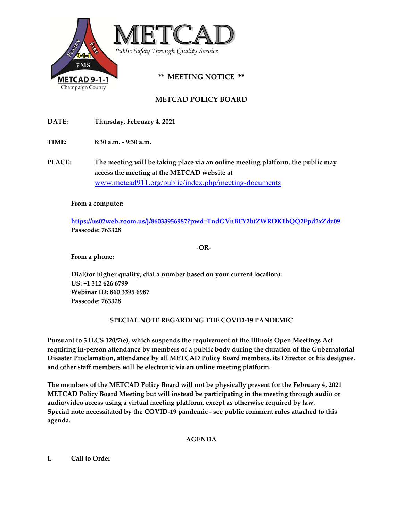

**METCAD POLICY BOARD**

**DATE: Thursday, February 4, 2021**

**TIME:** 8:30 **a.m.**  $\text{-} 9:30 \text{ a.m.}$ 

**PLACE: The meeting will be taking place via an online meeting platform, the public may access the meeting at the METCAD website at** www.metcad911.org/public/index.php/meeting-documents

## **From a computer:**

**https://us02web.zoom.us/j/86033956987?pwd=TndGVnBFY2htZWRDK1hQQ2Fpd2xZdz09 Passcode: 763328**

 **‐OR‐** 

**From a phone:**

**Dial(for higher quality, dial a number based on your current location): US: +1 312 626 6799 Webinar ID: 860 3395 6987 Passcode: 763328**

## **SPECIAL NOTE REGARDING THE COVID‐19 PANDEMIC**

**Pursuant to 5 ILCS 120/7(e), which suspends the requirement of the Illinois Open Meetings Act requiring in‐person attendance by members of a public body during the duration of the Gubernatorial Disaster Proclamation, attendance by all METCAD Policy Board members, its Director or his designee, and other staff members will be electronic via an online meeting platform.** 

**The members of the METCAD Policy Board will not be physically present for the February 4, 2021 METCAD Policy Board Meeting but will instead be participating in the meeting through audio or audio/video access using a virtual meeting platform, except as otherwise required by law. Special note necessitated by the COVID‐19 pandemic ‐ see public comment rules attached to this agenda.**

## **AGENDA**

## **I. Call to Order**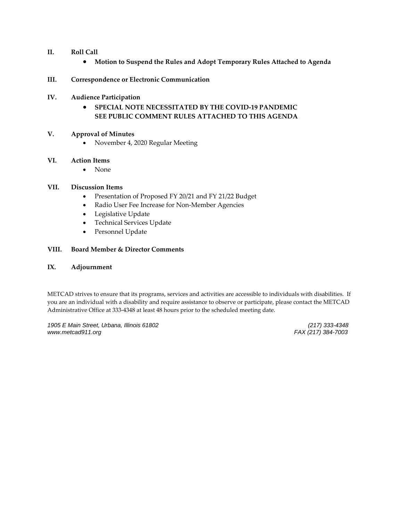## **II. Roll Call**

**Motion to Suspend the Rules and Adopt Temporary Rules Attached to Agenda**

## **III. Correspondence or Electronic Communication**

- **IV. Audience Participation**
	- **SPECIAL NOTE NECESSITATED BY THE COVID‐19 PANDEMIC SEE PUBLIC COMMENT RULES ATTACHED TO THIS AGENDA**

#### **V. Approval of Minutes**

November 4, 2020 Regular Meeting

#### **VI. Action Items**

• None

#### **VII. Discussion Items**

- Presentation of Proposed FY 20/21 and FY 21/22 Budget
- Radio User Fee Increase for Non-Member Agencies
- Legislative Update
- Technical Services Update
- Personnel Update

## **VIII. Board Member & Director Comments**

#### **IX. Adjournment**

METCAD strives to ensure that its programs, services and activities are accessible to individuals with disabilities. If you are an individual with a disability and require assistance to observe or participate, please contact the METCAD Administrative Office at 333‐4348 at least 48 hours prior to the scheduled meeting date.

*1905 E Main Street, Urbana, Illinois 61802 (217) 333-4348 www.metcad911.org FAX (217) 384-7003*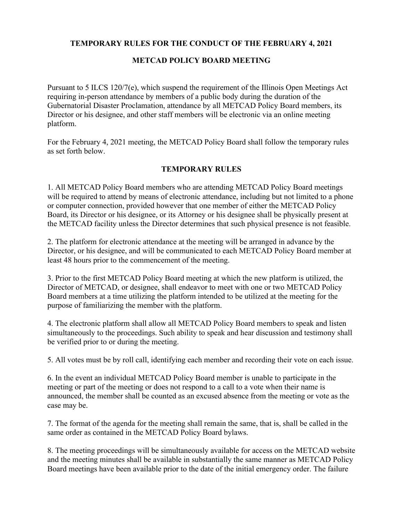## **TEMPORARY RULES FOR THE CONDUCT OF THE FEBRUARY 4, 2021**

# **METCAD POLICY BOARD MEETING**

Pursuant to 5 ILCS 120/7(e), which suspend the requirement of the Illinois Open Meetings Act requiring in-person attendance by members of a public body during the duration of the Gubernatorial Disaster Proclamation, attendance by all METCAD Policy Board members, its Director or his designee, and other staff members will be electronic via an online meeting platform.

For the February 4, 2021 meeting, the METCAD Policy Board shall follow the temporary rules as set forth below.

## **TEMPORARY RULES**

1. All METCAD Policy Board members who are attending METCAD Policy Board meetings will be required to attend by means of electronic attendance, including but not limited to a phone or computer connection, provided however that one member of either the METCAD Policy Board, its Director or his designee, or its Attorney or his designee shall be physically present at the METCAD facility unless the Director determines that such physical presence is not feasible.

2. The platform for electronic attendance at the meeting will be arranged in advance by the Director, or his designee, and will be communicated to each METCAD Policy Board member at least 48 hours prior to the commencement of the meeting.

3. Prior to the first METCAD Policy Board meeting at which the new platform is utilized, the Director of METCAD, or designee, shall endeavor to meet with one or two METCAD Policy Board members at a time utilizing the platform intended to be utilized at the meeting for the purpose of familiarizing the member with the platform.

4. The electronic platform shall allow all METCAD Policy Board members to speak and listen simultaneously to the proceedings. Such ability to speak and hear discussion and testimony shall be verified prior to or during the meeting.

5. All votes must be by roll call, identifying each member and recording their vote on each issue.

6. In the event an individual METCAD Policy Board member is unable to participate in the meeting or part of the meeting or does not respond to a call to a vote when their name is announced, the member shall be counted as an excused absence from the meeting or vote as the case may be.

7. The format of the agenda for the meeting shall remain the same, that is, shall be called in the same order as contained in the METCAD Policy Board bylaws.

8. The meeting proceedings will be simultaneously available for access on the METCAD website and the meeting minutes shall be available in substantially the same manner as METCAD Policy Board meetings have been available prior to the date of the initial emergency order. The failure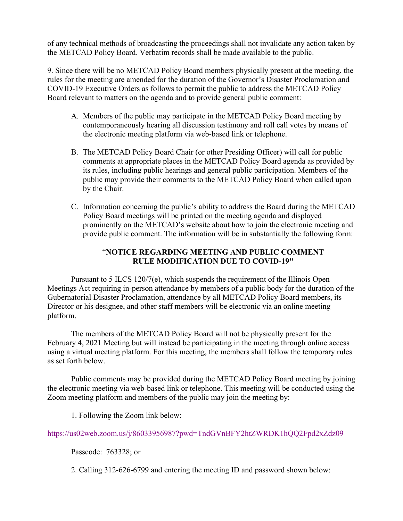of any technical methods of broadcasting the proceedings shall not invalidate any action taken by the METCAD Policy Board. Verbatim records shall be made available to the public.

9. Since there will be no METCAD Policy Board members physically present at the meeting, the rules for the meeting are amended for the duration of the Governor's Disaster Proclamation and COVID-19 Executive Orders as follows to permit the public to address the METCAD Policy Board relevant to matters on the agenda and to provide general public comment:

- A. Members of the public may participate in the METCAD Policy Board meeting by contemporaneously hearing all discussion testimony and roll call votes by means of the electronic meeting platform via web-based link or telephone.
- B. The METCAD Policy Board Chair (or other Presiding Officer) will call for public comments at appropriate places in the METCAD Policy Board agenda as provided by its rules, including public hearings and general public participation. Members of the public may provide their comments to the METCAD Policy Board when called upon by the Chair.
- C. Information concerning the public's ability to address the Board during the METCAD Policy Board meetings will be printed on the meeting agenda and displayed prominently on the METCAD's website about how to join the electronic meeting and provide public comment. The information will be in substantially the following form:

# "**NOTICE REGARDING MEETING AND PUBLIC COMMENT RULE MODIFICATION DUE TO COVID-19"**

Pursuant to 5 ILCS 120/7(e), which suspends the requirement of the Illinois Open Meetings Act requiring in-person attendance by members of a public body for the duration of the Gubernatorial Disaster Proclamation, attendance by all METCAD Policy Board members, its Director or his designee, and other staff members will be electronic via an online meeting platform.

The members of the METCAD Policy Board will not be physically present for the February 4, 2021 Meeting but will instead be participating in the meeting through online access using a virtual meeting platform. For this meeting, the members shall follow the temporary rules as set forth below.

Public comments may be provided during the METCAD Policy Board meeting by joining the electronic meeting via web-based link or telephone. This meeting will be conducted using the Zoom meeting platform and members of the public may join the meeting by:

1. Following the Zoom link below:

https://us02web.zoom.us/j/86033956987?pwd=TndGVnBFY2htZWRDK1hQQ2Fpd2xZdz09

Passcode: 763328; or

2. Calling 312-626-6799 and entering the meeting ID and password shown below: